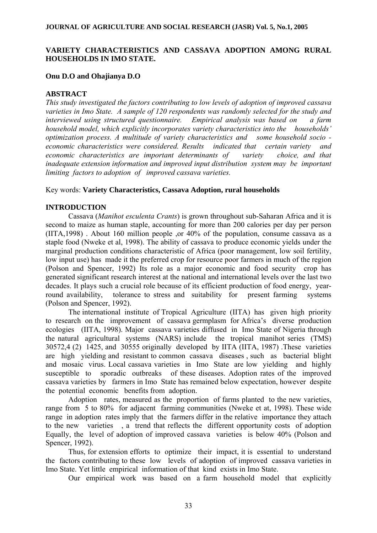# **VARIETY CHARACTERISTICS AND CASSAVA ADOPTION AMONG RURAL HOUSEHOLDS IN IMO STATE.**

## **Onu D.O and Ohajianya D.O**

# **ABSTRACT**

*This study investigated the factors contributing to low levels of adoption of improved cassava varieties in Imo State. A sample of 120 respondents was randomly selected for the study and interviewed using structured questionnaire. Empirical analysis was based on a farm household model, which explicitly incorporates variety characteristics into the households' optimization process. A multitude of variety characteristics and some household socio economic characteristics were considered. Results indicated that certain variety and economic characteristics are important determinants of variety choice, and that inadequate extension information and improved input distribution system may be important limiting factors to adoption of improved cassava varieties.* 

## Key words: **Variety Characteristics, Cassava Adoption, rural households**

## **INTRODUCTION**

 Cassava (*Manihot esculenta Crants*) is grown throughout sub-Saharan Africa and it is second to maize as human staple, accounting for more than 200 calories per day per person (IITA,1998) . About 160 million people ,or 40% of the population, consume cassava as a staple food (Nweke et al, 1998). The ability of cassava to produce economic yields under the marginal production conditions characteristic of Africa (poor management, low soil fertility, low input use) has made it the preferred crop for resource poor farmers in much of the region (Polson and Spencer, 1992) Its role as a major economic and food security crop has generated significant research interest at the national and international levels over the last two decades. It plays such a crucial role because of its efficient production of food energy, yearround availability, tolerance to stress and suitability for present farming systems (Polson and Spencer, 1992).

The international institute of Tropical Agriculture (IITA) has given high priority to research on the improvement of cassava germplasm for Africa's diverse production ecologies (IITA, 1998). Major cassava varieties diffused in Imo State of Nigeria through the natural agricultural systems (NARS) include the tropical manihot series (TMS) 30572,4 (2) 1425, and 30555 originally developed by IITA (IITA, 1987) .These varieties are high yielding and resistant to common cassava diseases , such as bacterial blight and mosaic virus. Local cassava varieties in Imo State are low yielding and highly susceptible to sporadic outbreaks of these diseases. Adoption rates of the improved cassava varieties by farmers in Imo State has remained below expectation, however despite the potential economic benefits from adoption.

Adoption rates, measured as the proportion of farms planted to the new varieties, range from 5 to 80% for adjacent farming communities (Nweke et at, 1998). These wide range in adoption rates imply that the farmers differ in the relative importance they attach to the new varieties , a trend that reflects the different opportunity costs of adoption Equally, the level of adoption of improved cassava varieties is below 40% (Polson and Spencer, 1992).

 Thus, for extension efforts to optimize their impact, it is essential to understand the factors contributing to these low levels of adoption of improved cassava varieties in Imo State. Yet little empirical information of that kind exists in Imo State.

Our empirical work was based on a farm household model that explicitly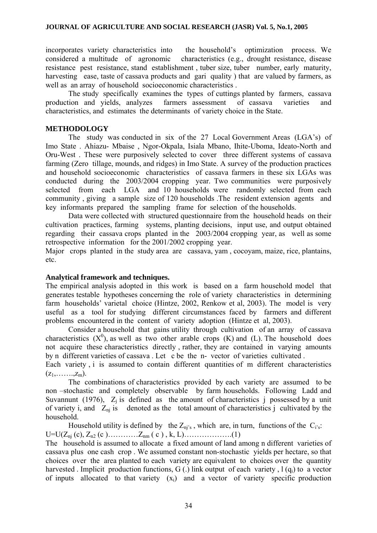incorporates variety characteristics into the household's optimization process. We considered a multitude of agronomic characteristics (e.g., drought resistance, disease resistance pest resistance, stand establishment , tuber size, tuber number, early maturity, harvesting ease, taste of cassava products and gari quality ) that are valued by farmers, as well as an array of household socioeconomic characteristics .

The study specifically examines the types of cuttings planted by farmers, cassava production and yields, analyzes farmers assessment of cassava varieties and characteristics, and estimates the determinants of variety choice in the State.

## **METHODOLOGY**

The study was conducted in six of the 27 Local Government Areas (LGA's) of Imo State . Ahiazu- Mbaise , Ngor-Okpala, Isiala Mbano, Ihite-Uboma, Ideato-North and Oru-West . These were purposively selected to cover three different systems of cassava farming (Zero tillage, mounds, and ridges) in Imo State. A survey of the production practices and household socioeconomic characteristics of cassava farmers in these six LGAs was conducted during the 2003/2004 cropping year. Two communities were purposively selected from each LGA and 10 households were randomly selected from each community , giving a sample size of 120 households .The resident extension agents and key informants prepared the sampling frame for selection of the households.

Data were collected with structured questionnaire from the household heads on their cultivation practices, farming systems, planting decisions, input use, and output obtained regarding their cassava crops planted in the 2003/2004 cropping year, as well as some retrospective information for the 2001/2002 cropping year.

Major crops planted in the study area are cassava, yam , cocoyam, maize, rice, plantains, etc.

## **Analytical framework and techniques.**

The empirical analysis adopted in this work is based on a farm household model that generates testable hypotheses concerning the role of variety characteristics in determining farm households' varietal choice (Hintze, 2002, Renkow et al, 2003). The model is very useful as a tool for studying different circumstances faced by farmers and different problems encountered in the content of variety adoption (Hintze et al, 2003).

Consider a household that gains utility through cultivation of an array of cassava characteristics  $(X^0)$ , as well as two other arable crops  $(K)$  and  $(L)$ . The household does not acquire these characteristics directly , rather, they are contained in varying amounts by n different varieties of cassava . Let c be the n- vector of varieties cultivated .

Each variety i is assumed to contain different quantities of m different characteristics  $(z_1,......,z_m)$ .

The combinations of characteristics provided by each variety are assumed to be non –stochastic and completely observable by farm households. Following Ladd and Suvannunt (1976),  $Z_i$  is defined as the amount of characteristics j possessed by a unit of variety i, and  $Z_{ni}$  is denoted as the total amount of characteristics j cultivated by the household.

Household utility is defined by the  $Z_{ni's}$ , which are, in turn, functions of the  $C_{i's}$ .  $U=U(Z_{ni}(c), Z_{n2}(c), \ldots, Z_{nm}(c), k, L), \ldots, \ldots, (1)$ 

The household is assumed to allocate a fixed amount of land among n different varieties of cassava plus one cash crop . We assumed constant non-stochastic yields per hectare, so that choices over the area planted to each variety are equivalent to choices over the quantity harvested . Implicit production functions, G(.) link output of each variety,  $l(q_i)$  to a vector of inputs allocated to that variety  $(x_i)$  and a vector of variety specific production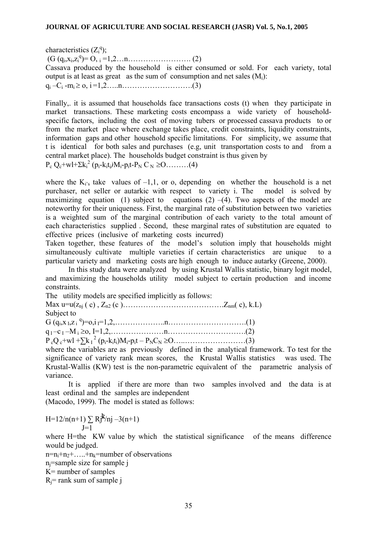characteristics  $(Z_i^q)$ ;

 $(G (q_i, x_i, z_i^q) = 0, i = 1, 2, \dots n, \dots (2)$ 

Cassava produced by the household is either consumed or sold. For each variety, total output is at least as great as the sum of consumption and net sales  $(M_i)$ :

 $q_i - C_i - m_i \ge 0, i = 1, 2, \ldots, n, \ldots, \ldots, \ldots, \ldots, (3)$ 

Finally,. it is assumed that households face transactions costs (t) when they participate in market transactions. These marketing costs encompass a wide variety of householdspecific factors, including the cost of moving tubers or processed cassava products to or from the market place where exchange takes place, credit constraints, liquidity constraints, information gaps and other household specific limitations. For simplicity, we assume that t is identical for both sales and purchases (e.g, unit transportation costs to and from a central market place). The households budget constraint is thus given by

 $P_c Q_c$ +wl+Σk<sub>i</sub><sup>2</sup> (p<sub>i</sub>-k<sub>i</sub>t<sub>i</sub>)M<sub>i</sub>-p<sub>i</sub>t-P<sub>N</sub> C<sub>N</sub> ≥O………(4)

where the  $K_i$ 's take values of  $-1,1$ , or o, depending on whether the household is a net purchaser, net seller or autarkic with respect to variety i. The model is solved by maximizing equation (1) subject to equations (2) –(4). Two aspects of the model are noteworthy for their uniqueness. First, the marginal rate of substitution between two varieties is a weighted sum of the marginal contribution of each variety to the total amount of each characteristics supplied . Second, these marginal rates of substitution are equated to effective prices (inclusive of marketing costs incurred)

Taken together, these features of the model's solution imply that households might simultaneously cultivate multiple varieties if certain characteristics are unique to a particular variety and marketing costs are high enough to induce autarky (Greene, 2000).

In this study data were analyzed by using Krustal Wallis statistic, binary logit model, and maximizing the households utility model subject to certain production and income constraints.

The utility models are specified implicitly as follows:

Max  $u=u(z_{ni} (c), Z_{n2} (c), \ldots, Z_{nm}(c), k.L)$ Subject to  $G (q_i, x_i, z_i)^q = 0, i = 1, 2, \ldots, n, \ldots, n, \ldots, \ldots, \ldots, \ldots, (1)$ 

q I –c I –M i ≥o, I=1,2,…………………n………………………….(2) P cQ c+wl +∑k I 2 (pi-kiti)Mi-pit – PNCN ≥O…..……………………(3)

where the variables are as previously defined in the analytical framework. To test for the significance of variety rank mean scores, the Krustal Wallis statistics was used. The Krustal-Wallis (KW) test is the non-parametric equivalent of the parametric analysis of variance.

It is applied if there are more than two samples involved and the data is at least ordinal and the samples are independent

(Macodo, 1999). The model is stated as follows:

$$
H=12/n(n+1)\sum_{J=1}Rj^{k}/nj-3(n+1)
$$

where H=the KW value by which the statistical significance of the means difference would be judged.

 $n=n_1+n_2+\ldots+n_k=n$ umber of observations

nj=sample size for sample j

 $K=$  number of samples

 $R_i$ = rank sum of sample j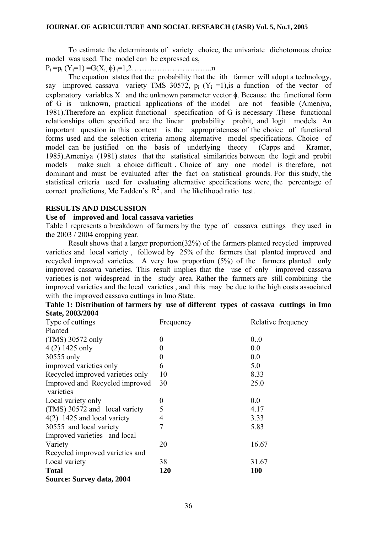To estimate the determinants of variety choice, the univariate dichotomous choice model was used. The model can be expressed as,

Pi =pi (Yi=1) =G(Xi, φ) i=1,2…………………………..n

The equation states that the probability that the ith farmer will adopt a technology, say improved cassava variety TMS 30572,  $p_i$  (Y<sub>i</sub> =1), is a function of the vector of explanatory variables  $X_i$  and the unknown parameter vector  $\phi$ . Because the functional form of G is unknown, practical applications of the model are not feasible (Ameniya, 1981).Therefore an explicit functional specification of G is necessary .These functional relationships often specified are the linear probability probit, and logit models. An important question in this context is the appropriateness of the choice of functional forms used and the selection criteria among alternative model specifications. Choice of model can be justified on the basis of underlying theory (Capps and Kramer, 1985).Ameniya (1981) states that the statistical similarities between the logit and probit models make such a choice difficult . Choice of any one model is therefore, not dominant and must be evaluated after the fact on statistical grounds. For this study, the statistical criteria used for evaluating alternative specifications were, the percentage of correct predictions, Mc Fadden's  $\mathbb{R}^2$ , and the likelihood ratio test.

## **RESULTS AND DISCUSSION**

## **Use of improved and local cassava varieties**

Table 1 represents a breakdown of farmers by the type of cassava cuttings they used in the 2003 / 2004 cropping year.

Result shows that a larger proportion(32%) of the farmers planted recycled improved varieties and local variety , followed by 25% of the farmers that planted improved and recycled improved varieties. A very low proportion (5%) of the farmers planted only improved cassava varieties. This result implies that the use of only improved cassava varieties is not widespread in the study area. Rather the farmers are still combining the improved varieties and the local varieties , and this may be due to the high costs associated with the improved cassava cuttings in Imo State.

|                  | Table 1: Distribution of farmers by use of different types of cassava cuttings in Imo |  |  |  |
|------------------|---------------------------------------------------------------------------------------|--|--|--|
| State, 2003/2004 |                                                                                       |  |  |  |

| Type of cuttings                            | Frequency | Relative frequency |
|---------------------------------------------|-----------|--------------------|
| Planted                                     |           |                    |
| (TMS) 30572 only                            | $\theta$  | 0.0                |
| $4(2)$ 1425 only                            | $\theta$  | 0.0                |
| 30555 only                                  | $\theta$  | 0.0                |
| improved varieties only                     | 6         | 5.0                |
| Recycled improved varieties only            | 10        | 8.33               |
| Improved and Recycled improved<br>varieties | 30        | 25.0               |
| Local variety only                          | $\theta$  | 0.0                |
| (TMS) 30572 and local variety               | 5         | 4.17               |
| $4(2)$ 1425 and local variety               | 4         | 3.33               |
| 30555 and local variety                     |           | 5.83               |
| Improved varieties and local                |           |                    |
| Variety                                     | 20        | 16.67              |
| Recycled improved varieties and             |           |                    |
| Local variety                               | 38        | 31.67              |
| <b>Total</b>                                | 120       | <b>100</b>         |
| <b>Source: Survey data, 2004</b>            |           |                    |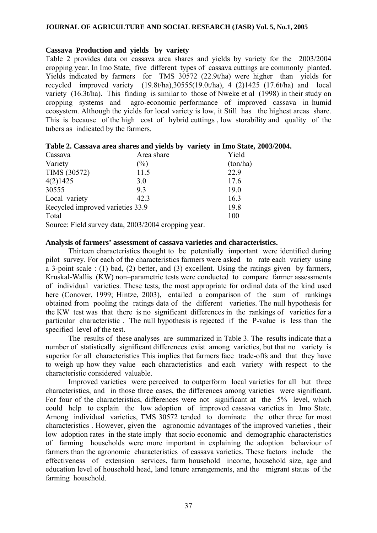#### **Cassava Production and yields by variety**

Table 2 provides data on cassava area shares and yields by variety for the 2003/2004 cropping year. In Imo State, five different types of cassava cuttings are commonly planted. Yields indicated by farmers for TMS 30572 (22.9t/ha) were higher than yields for recycled improved variety  $(19.8t/ha)$ ,  $30555(19.0t/ha)$ ,  $4(2)1425(17.6t/ha)$  and local variety (16.3t/ha). This finding is similar to those of Nweke et al (1998) in their study on cropping systems and agro-economic performance of improved cassava in humid ecosystem. Although the yields for local variety is low, it Still has the highest areas share. This is because of the high cost of hybrid cuttings , low storability and quality of the tubers as indicated by the farmers.

|                                  | Table 2. Cassava area shares and yields by variety in thio state, 2 |          |
|----------------------------------|---------------------------------------------------------------------|----------|
| Cassava                          | Area share                                                          | Yield    |
| Variety                          | $(\%)$                                                              | (ton/ha) |
| TIMS (30572)                     | 11.5                                                                | 22.9     |
| 4(2)1425                         | 3.0                                                                 | 17.6     |
| 30555                            | 93                                                                  | 19.0     |
| Local variety                    | 42.3                                                                | 16.3     |
| Recycled improved varieties 33.9 |                                                                     | 19.8     |
| Total                            |                                                                     | 100      |
|                                  | Source: Field survey data, 2003/2004 cropping year.                 |          |

# **Table 2. Cassava area shares and yields by variety in Imo State, 2003/2004.**

#### **Analysis of farmers' assessment of cassava varieties and characteristics.**

Thirteen characteristics thought to be potentially important were identified during pilot survey. For each of the characteristics farmers were asked to rate each variety using a 3-point scale : (1) bad, (2) better, and (3) excellent. Using the ratings given by farmers, Kruskal-Wallis (KW) non–parametric tests were conducted to compare farmer assessments of individual varieties. These tests, the most appropriate for ordinal data of the kind used here (Conover, 1999; Hintze, 2003), entailed a comparison of the sum of rankings obtained from pooling the ratings data of the different varieties. The null hypothesis for the KW test was that there is no significant differences in the rankings of varieties for a particular characteristic . The null hypothesis is rejected if the P-value is less than the specified level of the test.

The results of these analyses are summarized in Table 3. The results indicate that a number of statistically significant differences exist among varieties, but that no variety is superior for all characteristics This implies that farmers face trade-offs and that they have to weigh up how they value each characteristics and each variety with respect to the characteristic considered valuable.

Improved varieties were perceived to outperform local varieties for all but three characteristics, and in those three cases, the differences among varieties were significant. For four of the characteristics, differences were not significant at the 5% level, which could help to explain the low adoption of improved cassava varieties in Imo State. Among individual varieties, TMS 30572 tended to dominate the other three for most characteristics . However, given the agronomic advantages of the improved varieties , their low adoption rates in the state imply that socio economic and demographic characteristics of farming households were more important in explaining the adoption behaviour of farmers than the agronomic characteristics of cassava varieties. These factors include the effectiveness of extension services, farm household income, household size, age and education level of household head, land tenure arrangements, and the migrant status of the farming household.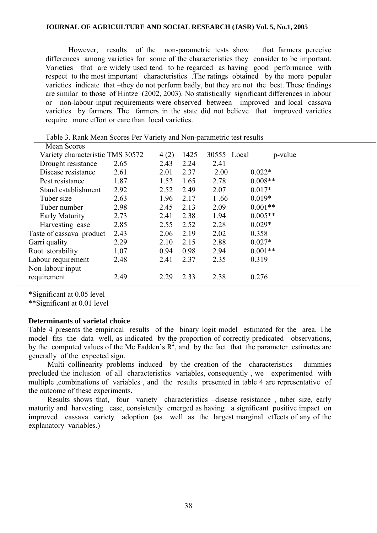However, results of the non-parametric tests show that farmers perceive differences among varieties for some of the characteristics they consider to be important. Varieties that are widely used tend to be regarded as having good performance with respect to the most important characteristics .The ratings obtained by the more popular varieties indicate that –they do not perform badly, but they are not the best. These findings are similar to those of Hintze (2002, 2003). No statistically significant differences in labour or non-labour input requirements were observed between improved and local cassava varieties by farmers. The farmers in the state did not believe that improved varieties require more effort or care than local varieties.

| Mean Scores                      |      |      |      |             |           |         |  |
|----------------------------------|------|------|------|-------------|-----------|---------|--|
| Variety characteristic TMS 30572 |      | 4(2) | 1425 | 30555 Local |           | p-value |  |
| Drought resistance               | 2.65 | 2.43 | 2.24 | 2.41        |           |         |  |
| Disease resistance               | 2.61 | 2.01 | 2.37 | 2.00        | $0.022*$  |         |  |
| Pest resistance                  | 1.87 | 1.52 | 1.65 | 2.78        | $0.008**$ |         |  |
| Stand establishment              | 2.92 | 2.52 | 2.49 | 2.07        | $0.017*$  |         |  |
| Tuber size                       | 2.63 | 1.96 | 2.17 | 1.66        | $0.019*$  |         |  |
| Tuber number                     | 2.98 | 2.45 | 2.13 | 2.09        | $0.001**$ |         |  |
| Early Maturity                   | 2.73 | 2.41 | 2.38 | 1.94        | $0.005**$ |         |  |
| Harvesting ease                  | 2.85 | 2.55 | 2.52 | 2.28        | $0.029*$  |         |  |
| Taste of cassava product         | 2.43 | 2.06 | 2.19 | 2.02        | 0.358     |         |  |
| Garri quality                    | 2.29 | 2.10 | 2.15 | 2.88        | $0.027*$  |         |  |
| Root storability                 | 1.07 | 0.94 | 0.98 | 2.94        | $0.001**$ |         |  |
| Labour requirement               | 2.48 | 2.41 | 2.37 | 2.35        | 0.319     |         |  |
| Non-labour input                 |      |      |      |             |           |         |  |
| requirement                      | 2.49 | 2.29 | 2.33 | 2.38        | 0.276     |         |  |
|                                  |      |      |      |             |           |         |  |

Table 3. Rank Mean Scores Per Variety and Non-parametric test results

\*Significant at 0.05 level

\*\*Significant at 0.01 level

#### **Determinants of varietal choice**

Table 4 presents the empirical results of the binary logit model estimated for the area. The model fits the data well, as indicated by the proportion of correctly predicated observations, by the computed values of the Mc Fadden's  $R^2$ , and by the fact that the parameter estimates are generally of the expected sign.

 Multi collinearity problems induced by the creation of the characteristics dummies precluded the inclusion of all characteristics variables, consequently , we experimented with multiple ,combinations of variables , and the results presented in table 4 are representative of the outcome of these experiments.

 Results shows that, four variety characteristics –disease resistance , tuber size, early maturity and harvesting ease, consistently emerged as having a significant positive impact on improved cassava variety adoption (as well as the largest marginal effects of any of the explanatory variables.)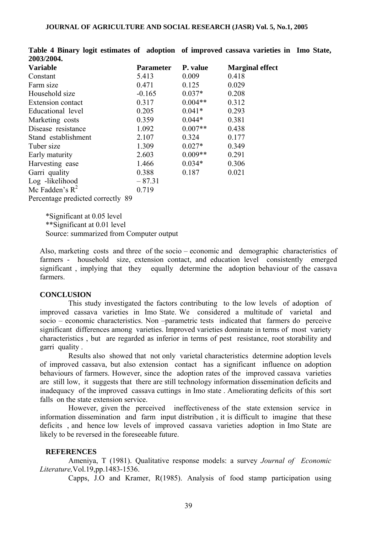| 200 <i>31</i> 2004.               |                  |           |                        |
|-----------------------------------|------------------|-----------|------------------------|
| <b>Variable</b>                   | <b>Parameter</b> | P. value  | <b>Marginal effect</b> |
| Constant                          | 5.413            | 0.009     | 0.418                  |
| Farm size                         | 0.471            | 0.125     | 0.029                  |
| Household size                    | $-0.165$         | $0.037*$  | 0.208                  |
| <b>Extension contact</b>          | 0.317            | $0.004**$ | 0.312                  |
| Educational level                 | 0.205            | $0.041*$  | 0.293                  |
| Marketing costs                   | 0.359            | $0.044*$  | 0.381                  |
| Disease resistance                | 1.092            | $0.007**$ | 0.438                  |
| Stand establishment               | 2.107            | 0.324     | 0.177                  |
| Tuber size                        | 1.309            | $0.027*$  | 0.349                  |
| Early maturity                    | 2.603            | $0.009**$ | 0.291                  |
| Harvesting ease                   | 1.466            | $0.034*$  | 0.306                  |
| Garri quality                     | 0.388            | 0.187     | 0.021                  |
| Log -likelihood                   | $-87.31$         |           |                        |
| Mc Fadden's $R^2$                 | 0.719            |           |                        |
| Dorogntogo prodicted correctly 00 |                  |           |                        |

**Table 4 Binary logit estimates of adoption of improved cassava varieties in Imo State, 2003/2004.** 

Percentage predicted correctly 89

\*Significant at 0.05 level \*\*Significant at 0.01 level Source: summarized from Computer output

Also, marketing costs and three of the socio – economic and demographic characteristics of farmers - household size, extension contact, and education level consistently emerged significant , implying that they equally determine the adoption behaviour of the cassava farmers.

#### **CONCLUSION**

This study investigated the factors contributing to the low levels of adoption of improved cassava varieties in Imo State. We considered a multitude of varietal and socio – economic characteristics. Non –parametric tests indicated that farmers do perceive significant differences among varieties. Improved varieties dominate in terms of most variety characteristics , but are regarded as inferior in terms of pest resistance, root storability and garri quality .

Results also showed that not only varietal characteristics determine adoption levels of improved cassava, but also extension contact has a significant influence on adoption behaviours of farmers. However, since the adoption rates of the improved cassava varieties are still low, it suggests that there are still technology information dissemination deficits and inadequacy of the improved cassava cuttings in Imo state . Ameliorating deficits of this sort falls on the state extension service.

However, given the perceived ineffectiveness of the state extension service in information dissemination and farm input distribution , it is difficult to imagine that these deficits , and hence low levels of improved cassava varieties adoption in Imo State are likely to be reversed in the foreseeable future.

## **REFERENCES**

Ameniya, T (1981). Qualitative response models: a survey *Journal of Economic Literature,*Vol.19,pp.1483-1536.

Capps, J.O and Kramer, R(1985). Analysis of food stamp participation using